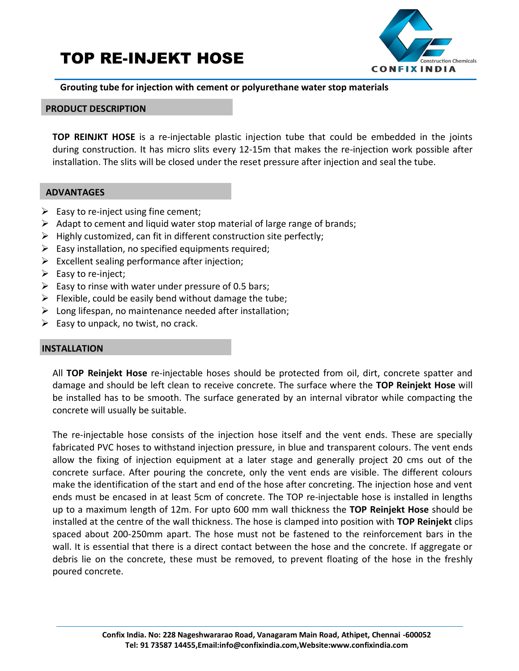# TOP RE-INJEKT HOSE



## **Grouting tube for injection with cement or polyurethane water stop materials**

## **PRODUCT DESCRIPTION**

**TOP REINJKT HOSE** is a re-injectable plastic injection tube that could be embedded in the joints during construction. It has micro slits every 12-15m that makes the re-injection work possible after installation. The slits will be closed under the reset pressure after injection and seal the tube.

### **ADVANTAGES**

- $\triangleright$  Easy to re-inject using fine cement;
- $\triangleright$  Adapt to cement and liquid water stop material of large range of brands;
- $\triangleright$  Highly customized, can fit in different construction site perfectly;
- $\triangleright$  Easy installation, no specified equipments required;
- $\triangleright$  Excellent sealing performance after injection;
- $\triangleright$  Easy to re-inject;
- $\triangleright$  Easy to rinse with water under pressure of 0.5 bars;
- $\triangleright$  Flexible, could be easily bend without damage the tube;
- $\triangleright$  Long lifespan, no maintenance needed after installation;
- $\triangleright$  Easy to unpack, no twist, no crack.

#### **INSTALLATION**

All **TOP Reinjekt Hose** re-injectable hoses should be protected from oil, dirt, concrete spatter and damage and should be left clean to receive concrete. The surface where the **TOP Reinjekt Hose** will be installed has to be smooth. The surface generated by an internal vibrator while compacting the concrete will usually be suitable.

The re-injectable hose consists of the injection hose itself and the vent ends. These are specially fabricated PVC hoses to withstand injection pressure, in blue and transparent colours. The vent ends allow the fixing of injection equipment at a later stage and generally project 20 cms out of the concrete surface. After pouring the concrete, only the vent ends are visible. The different colours make the identification of the start and end of the hose after concreting. The injection hose and vent ends must be encased in at least 5cm of concrete. The TOP re-injectable hose is installed in lengths up to a maximum length of 12m. For upto 600 mm wall thickness the **TOP Reinjekt Hose** should be installed at the centre of the wall thickness. The hose is clamped into position with **TOP Reinjekt** clips spaced about 200-250mm apart. The hose must not be fastened to the reinforcement bars in the wall. It is essential that there is a direct contact between the hose and the concrete. If aggregate or debris lie on the concrete, these must be removed, to prevent floating of the hose in the freshly poured concrete.